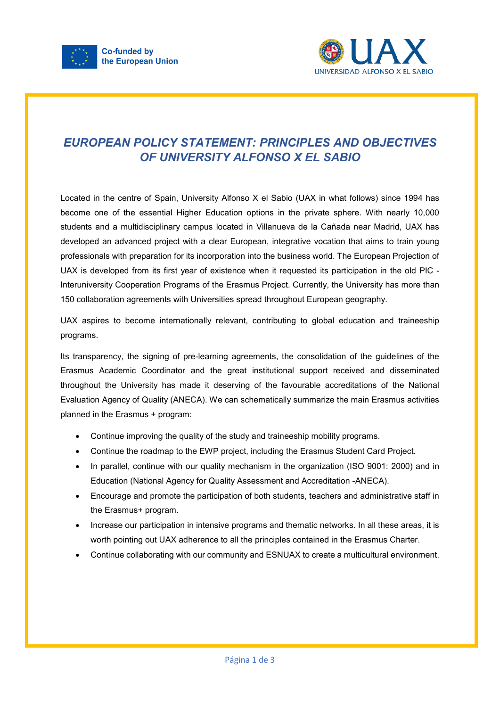



## *EUROPEAN POLICY STATEMENT: PRINCIPLES AND OBJECTIVES OF UNIVERSITY ALFONSO X EL SABIO*

Located in the centre of Spain, University Alfonso X el Sabio (UAX in what follows) since 1994 has become one of the essential Higher Education options in the private sphere. With nearly 10,000 students and a multidisciplinary campus located in Villanueva de la Cañada near Madrid, UAX has developed an advanced project with a clear European, integrative vocation that aims to train young professionals with preparation for its incorporation into the business world. The European Projection of UAX is developed from its first year of existence when it requested its participation in the old PIC - Interuniversity Cooperation Programs of the Erasmus Project. Currently, the University has more than 150 collaboration agreements with Universities spread throughout European geography.

UAX aspires to become internationally relevant, contributing to global education and traineeship programs.

Its transparency, the signing of pre-learning agreements, the consolidation of the guidelines of the Erasmus Academic Coordinator and the great institutional support received and disseminated throughout the University has made it deserving of the favourable accreditations of the National Evaluation Agency of Quality (ANECA). We can schematically summarize the main Erasmus activities planned in the Erasmus + program:

- Continue improving the quality of the study and traineeship mobility programs.
- Continue the roadmap to the EWP project, including the Erasmus Student Card Project.
- In parallel, continue with our quality mechanism in the organization (ISO 9001: 2000) and in Education (National Agency for Quality Assessment and Accreditation -ANECA).
- Encourage and promote the participation of both students, teachers and administrative staff in the Erasmus+ program.
- Increase our participation in intensive programs and thematic networks. In all these areas, it is worth pointing out UAX adherence to all the principles contained in the Erasmus Charter.
- Continue collaborating with our community and ESNUAX to create a multicultural environment.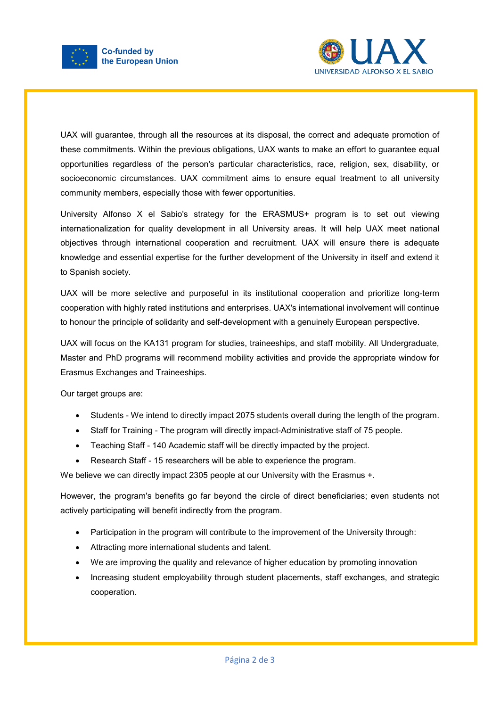



UAX will guarantee, through all the resources at its disposal, the correct and adequate promotion of these commitments. Within the previous obligations, UAX wants to make an effort to guarantee equal opportunities regardless of the person's particular characteristics, race, religion, sex, disability, or socioeconomic circumstances. UAX commitment aims to ensure equal treatment to all university community members, especially those with fewer opportunities.

University Alfonso X el Sabio's strategy for the ERASMUS+ program is to set out viewing internationalization for quality development in all University areas. It will help UAX meet national objectives through international cooperation and recruitment. UAX will ensure there is adequate knowledge and essential expertise for the further development of the University in itself and extend it to Spanish society.

UAX will be more selective and purposeful in its institutional cooperation and prioritize long-term cooperation with highly rated institutions and enterprises. UAX's international involvement will continue to honour the principle of solidarity and self-development with a genuinely European perspective.

UAX will focus on the KA131 program for studies, traineeships, and staff mobility. All Undergraduate, Master and PhD programs will recommend mobility activities and provide the appropriate window for Erasmus Exchanges and Traineeships.

Our target groups are:

- Students We intend to directly impact 2075 students overall during the length of the program.
- Staff for Training The program will directly impact-Administrative staff of 75 people.
- Teaching Staff 140 Academic staff will be directly impacted by the project.
- Research Staff 15 researchers will be able to experience the program.

We believe we can directly impact 2305 people at our University with the Erasmus +.

However, the program's benefits go far beyond the circle of direct beneficiaries; even students not actively participating will benefit indirectly from the program.

- Participation in the program will contribute to the improvement of the University through:
- Attracting more international students and talent.
- We are improving the quality and relevance of higher education by promoting innovation
- Increasing student employability through student placements, staff exchanges, and strategic cooperation.